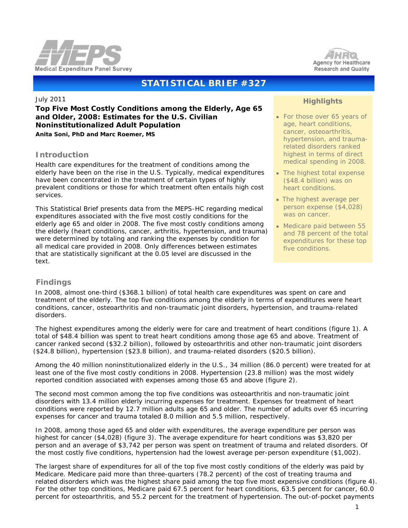



# **STATISTICAL BRIEF #327**

July 2011

## **Top Five Most Costly Conditions among the Elderly, Age 65 and Older, 2008: Estimates for the U.S. Civilian Noninstitutionalized Adult Population**

*Anita Soni, PhD and Marc Roemer, MS*

## **Introduction**

Health care expenditures for the treatment of conditions among the elderly have been on the rise in the U.S. Typically, medical expenditures have been concentrated in the treatment of certain types of highly prevalent conditions or those for which treatment often entails high cost services.

This Statistical Brief presents data from the MEPS-HC regarding medical expenditures associated with the five most costly conditions for the elderly age 65 and older in 2008. The five most costly conditions among the elderly (heart conditions, cancer, arthritis, hypertension, and trauma) were determined by totaling and ranking the expenses by condition for all medical care provided in 2008. Only differences between estimates that are statistically significant at the 0.05 level are discussed in the text.

## **Highlights**

- For those over 65 years of age, heart conditions, cancer, osteoarthritis, hypertension, and traumarelated disorders ranked highest in terms of direct medical spending in 2008.
- The highest total expense (\$48.4 billion) was on heart conditions.
- The highest average per person expense (\$4,028) was on cancer.
- Medicare paid between 55 and 78 percent of the total expenditures for these top five conditions.

## **Findings**

 In 2008, almost one-third (\$368.1 billion) of total health care expenditures was spent on care and treatment of the elderly. The top five conditions among the elderly in terms of expenditures were heart conditions, cancer, osteoarthritis and non-traumatic joint disorders, hypertension, and trauma-related disorders.

 The highest expenditures among the elderly were for care and treatment of heart conditions (figure 1). A total of \$48.4 billion was spent to treat heart conditions among those age 65 and above. Treatment of cancer ranked second (\$32.2 billion), followed by osteoarthritis and other non-traumatic joint disorders (\$24.8 billion), hypertension (\$23.8 billion), and trauma-related disorders (\$20.5 billion).

 Among the 40 million noninstitutionalized elderly in the U.S., 34 million (86.0 percent) were treated for at least one of the five most costly conditions in 2008. Hypertension (23.8 million) was the most widely reported condition associated with expenses among those 65 and above (figure 2).

 The second most common among the top five conditions was osteoarthritis and non-traumatic joint disorders with 13.4 million elderly incurring expenses for treatment. Expenses for treatment of heart conditions were reported by 12.7 million adults age 65 and older. The number of adults over 65 incurring expenses for cancer and trauma totaled 8.0 million and 5.5 million, respectively.

 In 2008, among those aged 65 and older with expenditures, the average expenditure per person was highest for cancer (\$4,028) (figure 3). The average expenditure for heart conditions was \$3,820 per person and an average of \$3,742 per person was spent on treatment of trauma and related disorders. Of the most costly five conditions, hypertension had the lowest average per-person expenditure (\$1,002).

 The largest share of expenditures for all of the top five most costly conditions of the elderly was paid by Medicare. Medicare paid more than three-quarters (78.2 percent) of the cost of treating trauma and related disorders which was the highest share paid among the top five most expensive conditions (figure 4). For the other top conditions, Medicare paid 67.5 percent for heart conditions, 63.5 percent for cancer, 60.0 percent for osteoarthritis, and 55.2 percent for the treatment of hypertension. The out-of-pocket payments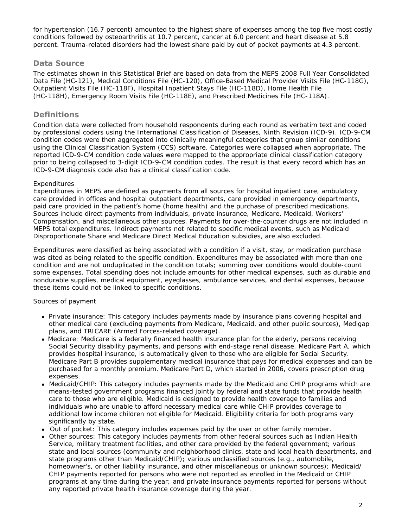for hypertension (16.7 percent) amounted to the highest share of expenses among the top five most costly conditions followed by osteoarthritis at 10.7 percent, cancer at 6.0 percent and heart disease at 5.8 percent. Trauma-related disorders had the lowest share paid by out of pocket payments at 4.3 percent.

### **Data Source**

The estimates shown in this Statistical Brief are based on data from the MEPS 2008 Full Year Consolidated Data File (HC-121), Medical Conditions File (HC-120), Office-Based Medical Provider Visits File (HC-118G), Outpatient Visits File (HC-118F), Hospital Inpatient Stays File (HC-118D), Home Health File (HC-118H), Emergency Room Visits File (HC-118E), and Prescribed Medicines File (HC-118A).

## **Definitions**

Condition data were collected from household respondents during each round as verbatim text and coded by professional coders using the International Classification of Diseases, Ninth Revision (ICD-9). ICD-9-CM condition codes were then aggregated into clinically meaningful categories that group similar conditions using the Clinical Classification System (CCS) software. Categories were collapsed when appropriate. The reported ICD-9-CM condition code values were mapped to the appropriate clinical classification category prior to being collapsed to 3-digit ICD-9-CM condition codes. The result is that every record which has an ICD-9-CM diagnosis code also has a clinical classification code.

#### *Expenditures*

Expenditures in MEPS are defined as payments from all sources for hospital inpatient care, ambulatory care provided in offices and hospital outpatient departments, care provided in emergency departments, paid care provided in the patient's home (home health) and the purchase of prescribed medications. Sources include direct payments from individuals, private insurance, Medicare, Medicaid, Workers' Compensation, and miscellaneous other sources. Payments for over-the-counter drugs are not included in MEPS total expenditures. Indirect payments not related to specific medical events, such as Medicaid Disproportionate Share and Medicare Direct Medical Education subsidies, are also excluded.

Expenditures were classified as being associated with a condition if a visit, stay, or medication purchase was cited as being related to the specific condition. Expenditures may be associated with more than one condition and are not unduplicated in the condition totals; summing over conditions would double-count some expenses. Total spending does not include amounts for other medical expenses, such as durable and nondurable supplies, medical equipment, eyeglasses, ambulance services, and dental expenses, because these items could not be linked to specific conditions.

## *Sources of payment*

- *Private insurance*: This category includes payments made by insurance plans covering hospital and other medical care (excluding payments from Medicare, Medicaid, and other public sources), Medigap plans, and TRICARE (Armed Forces-related coverage).
- *Medicare*: Medicare is a federally financed health insurance plan for the elderly, persons receiving Social Security disability payments, and persons with end-stage renal disease. Medicare Part A, which provides hospital insurance, is automatically given to those who are eligible for Social Security. Medicare Part B provides supplementary medical insurance that pays for medical expenses and can be purchased for a monthly premium. Medicare Part D, which started in 2006, covers prescription drug expenses.
- *Medicaid/CHIP*: This category includes payments made by the Medicaid and CHIP programs which are means-tested government programs financed jointly by federal and state funds that provide health care to those who are eligible. Medicaid is designed to provide health coverage to families and individuals who are unable to afford necessary medical care while CHIP provides coverage to additional low income children not eligible for Medicaid. Eligibility criteria for both programs vary significantly by state.
- *Out of pocket*: This category includes expenses paid by the user or other family member.
- *Other sources*: This category includes payments from other federal sources such as Indian Health Service, military treatment facilities, and other care provided by the federal government; various state and local sources (community and neighborhood clinics, state and local health departments, and state programs other than Medicaid/CHIP); various unclassified sources (e.g., automobile, homeowner's, or other liability insurance, and other miscellaneous or unknown sources); Medicaid/ CHIP payments reported for persons who were not reported as enrolled in the Medicaid or CHIP programs at any time during the year; and private insurance payments reported for persons without any reported private health insurance coverage during the year.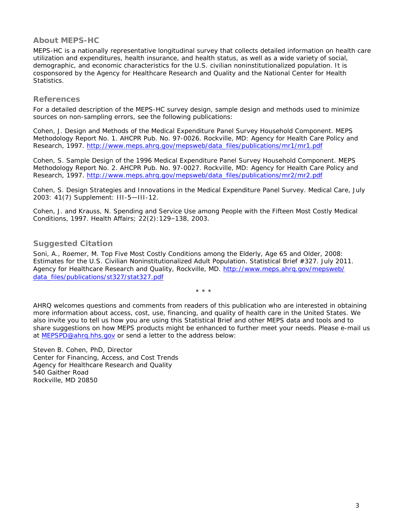## **About MEPS-HC**

MEPS-HC is a nationally representative longitudinal survey that collects detailed information on health care utilization and expenditures, health insurance, and health status, as well as a wide variety of social, demographic, and economic characteristics for the U.S. civilian noninstitutionalized population. It is cosponsored by the Agency for Healthcare Research and Quality and the National Center for Health Statistics.

#### **References**

For a detailed description of the MEPS-HC survey design, sample design and methods used to minimize sources on non-sampling errors, see the following publications:

Cohen, J. *Design and Methods of the Medical Expenditure Panel Survey Household Component*. MEPS Methodology Report No. 1. AHCPR Pub. No. 97-0026. Rockville, MD: Agency for Health Care Policy and Research, 1997. [http://www.meps.ahrq.gov/mepsweb/data\\_files/publications/mr1/mr1.pdf](http://www.meps.ahrq.gov/mepsweb/data_files/publications/mr1/mr1.pdf) 

Cohen, S. *Sample Design of the 1996 Medical Expenditure Panel Survey Household Component*. MEPS Methodology Report No. 2. AHCPR Pub. No. 97-0027. Rockville, MD: Agency for Health Care Policy and Research, 1997. [http://www.meps.ahrq.gov/mepsweb/data\\_files/publications/mr2/mr2.pdf](http://www.meps.ahrq.gov/mepsweb/data_files/publications/mr2/mr2.pdf)

Cohen, S. Design Strategies and Innovations in the Medical Expenditure Panel Survey. *Medical Care*, July 2003: 41(7) Supplement: III-5—III-12.

Cohen, J. and Krauss, N. *Spending and Service Use among People with the Fifteen Most Costly Medical Conditions, 1997*. Health Affairs; 22(2):129–138, 2003.

## **Suggested Citation**

Soni, A., Roemer, M. *Top Five Most Costly Conditions among the Elderly, Age 65 and Older, 2008: Estimates for the U.S. Civilian Noninstitutionalized Adult Population*. Statistical Brief #327. July 2011. Agency for Healthcare Research and Quality, Rockville, MD. [http://www.meps.ahrq.gov/mepsweb/](http://www.meps.ahrq.gov/mepsweb/data_files/publications/st327/stat327.pdf) [data\\_files/publications/st327/stat327.pdf](http://www.meps.ahrq.gov/mepsweb/data_files/publications/st327/stat327.pdf)

\* \* \*

AHRQ welcomes questions and comments from readers of this publication who are interested in obtaining more information about access, cost, use, financing, and quality of health care in the United States. We also invite you to tell us how you are using this Statistical Brief and other MEPS data and tools and to share suggestions on how MEPS products might be enhanced to further meet your needs. Please e-mail us at [MEPSPD@ahrq.hhs.gov](mailto:mepspd@ahrq.hhs.gov) or send a letter to the address below:

Steven B. Cohen, PhD, Director Center for Financing, Access, and Cost Trends Agency for Healthcare Research and Quality 540 Gaither Road Rockville, MD 20850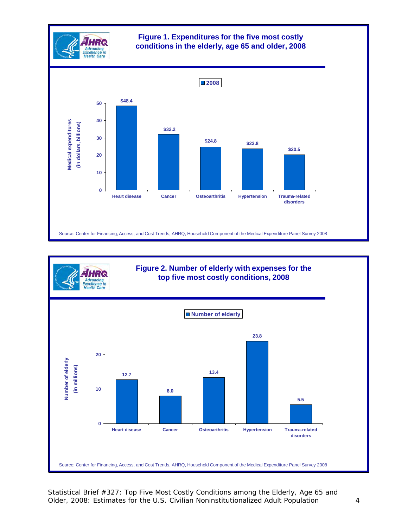



Statistical Brief #327: Top Five Most Costly Conditions among the Elderly, Age 65 and Older, 2008: Estimates for the U.S. Civilian Noninstitutionalized Adult Population 4